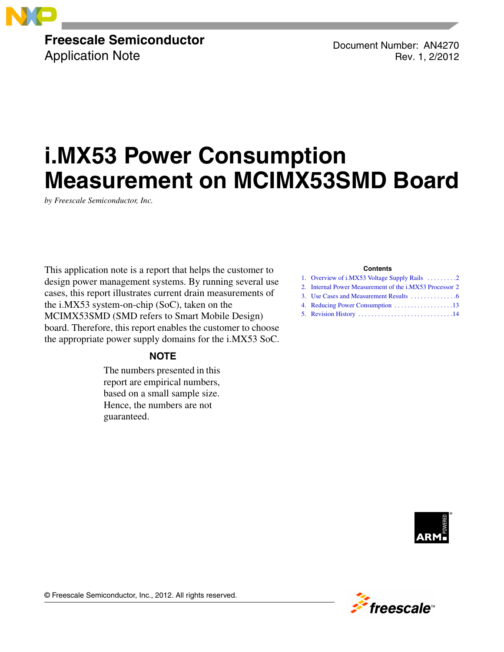

## **Freescale Semiconductor** Application Note

Document Number: AN4270 Rev. 1, 2/2012

# **i.MX53 Power Consumption Measurement on MCIMX53SMD Board**

*by Freescale Semiconductor, Inc.*

This application note is a report that helps the customer to design power management systems. By running several use cases, this report illustrates current drain measurements of the i.MX53 system-on-chip (SoC), taken on the MCIMX53SMD (SMD refers to Smart Mobile Design) board. Therefore, this report enables the customer to choose the appropriate power supply domains for the i.MX53 SoC.

### **NOTE**

The numbers presented in this report are empirical numbers, based on a small sample size. Hence, the numbers are not guaranteed.

### **Contents**

| 1. Overview of i.MX53 Voltage Supply Rails 2            |
|---------------------------------------------------------|
| 2. Internal Power Measurement of the i.MX53 Processor 2 |
|                                                         |
|                                                         |
|                                                         |
|                                                         |



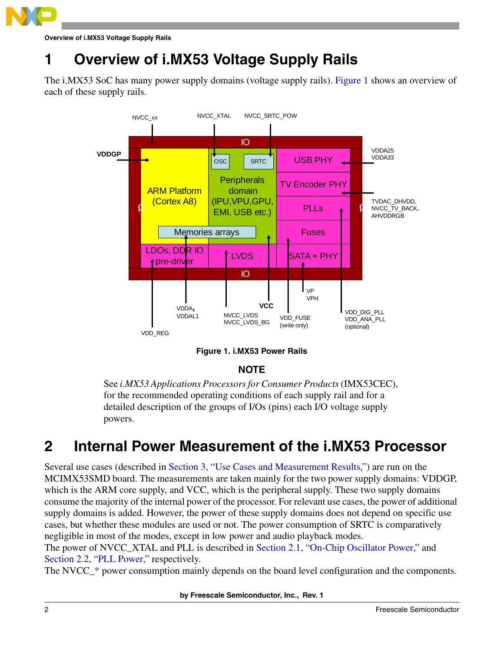

**Overview of i.MX53 Voltage Supply Rails**

## <span id="page-1-0"></span>**1 Overview of i.MX53 Voltage Supply Rails**

The i.MX53 SoC has many power supply domains (voltage supply rails). [Figure 1](#page-1-2) shows an overview of each of these supply rails.



**Figure 1. i.MX53 Power Rails**

### **NOTE**

<span id="page-1-2"></span>See *i.MX53 Applications Processors for Consumer Products* (IMX53CEC), for the recommended operating conditions of each supply rail and for a detailed description of the groups of I/Os (pins) each I/O voltage supply powers.

## <span id="page-1-1"></span>**2 Internal Power Measurement of the i.MX53 Processor**

Several use cases (described in [Section 3, "Use Cases and Measurement Results,](#page-5-0)") are run on the MCIMX53SMD board. The measurements are taken mainly for the two power supply domains: VDDGP, which is the ARM core supply, and VCC, which is the peripheral supply. These two supply domains consume the majority of the internal power of the processor. For relevant use cases, the power of additional supply domains is added. However, the power of these supply domains does not depend on specific use cases, but whether these modules are used or not. The power consumption of SRTC is comparatively negligible in most of the modes, except in low power and audio playback modes.

The power of NVCC\_XTAL and PLL is described in [Section 2.1, "On-Chip Oscillator Power](#page-2-0)," and [Section 2.2, "PLL Power,](#page-2-1)" respectively.

The NVCC<sub></sub><sup>\*</sup> power consumption mainly depends on the board level configuration and the components.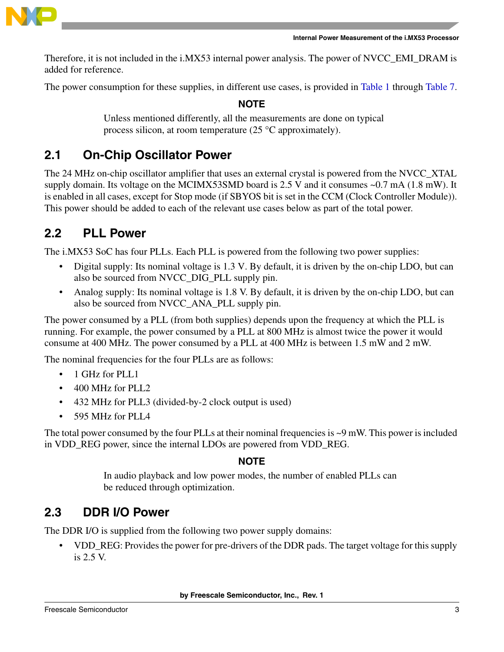

Therefore, it is not included in the i.MX53 internal power analysis. The power of NVCC\_EMI\_DRAM is added for reference.

The power consumption for these supplies, in different use cases, is provided in [Table 1](#page-6-0) through [Table 7.](#page-12-1)

**NOTE**

Unless mentioned differently, all the measurements are done on typical process silicon, at room temperature (25 °C approximately).

## <span id="page-2-0"></span>**2.1 On-Chip Oscillator Power**

The 24 MHz on-chip oscillator amplifier that uses an external crystal is powered from the NVCC\_XTAL supply domain. Its voltage on the MCIMX53SMD board is 2.5 V and it consumes ~0.7 mA (1.8 mW). It is enabled in all cases, except for Stop mode (if SBYOS bit is set in the CCM (Clock Controller Module)). This power should be added to each of the relevant use cases below as part of the total power.

## <span id="page-2-1"></span>**2.2 PLL Power**

The i.MX53 SoC has four PLLs. Each PLL is powered from the following two power supplies:

- Digital supply: Its nominal voltage is 1.3 V. By default, it is driven by the on-chip LDO, but can also be sourced from NVCC\_DIG\_PLL supply pin.
- Analog supply: Its nominal voltage is 1.8 V. By default, it is driven by the on-chip LDO, but can also be sourced from NVCC\_ANA\_PLL supply pin.

The power consumed by a PLL (from both supplies) depends upon the frequency at which the PLL is running. For example, the power consumed by a PLL at 800 MHz is almost twice the power it would consume at 400 MHz. The power consumed by a PLL at 400 MHz is between 1.5 mW and 2 mW.

The nominal frequencies for the four PLLs are as follows:

- 1 GHz for PLL1
- 400 MHz for PLL2
- 432 MHz for PLL3 (divided-by-2 clock output is used)
- 595 MHz for PLL4

The total power consumed by the four PLLs at their nominal frequencies is  $\sim$ 9 mW. This power is included in VDD\_REG power, since the internal LDOs are powered from VDD\_REG.

### **NOTE**

In audio playback and low power modes, the number of enabled PLLs can be reduced through optimization.

## **2.3 DDR I/O Power**

The DDR I/O is supplied from the following two power supply domains:

• VDD\_REG: Provides the power for pre-drivers of the DDR pads. The target voltage for this supply is 2.5 V.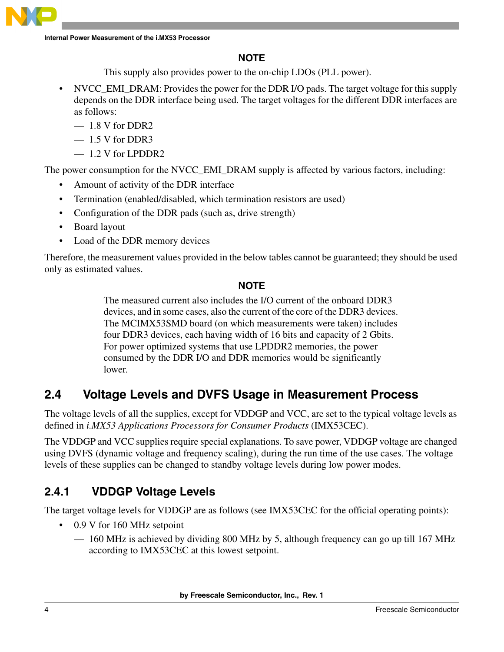**Internal Power Measurement of the i.MX53 Processor**

## **NOTE**

This supply also provides power to the on-chip LDOs (PLL power).

- NVCC\_EMI\_DRAM: Provides the power for the DDR I/O pads. The target voltage for this supply depends on the DDR interface being used. The target voltages for the different DDR interfaces are as follows:
	- $-1.8$  V for DDR2
	- 1.5 V for DDR3
	- 1.2 V for LPDDR2

The power consumption for the NVCC\_EMI\_DRAM supply is affected by various factors, including:

- Amount of activity of the DDR interface
- Termination (enabled/disabled, which termination resistors are used)
- Configuration of the DDR pads (such as, drive strength)
- Board layout
- Load of the DDR memory devices

Therefore, the measurement values provided in the below tables cannot be guaranteed; they should be used only as estimated values.

### **NOTE**

The measured current also includes the I/O current of the onboard DDR3 devices, and in some cases, also the current of the core of the DDR3 devices. The MCIMX53SMD board (on which measurements were taken) includes four DDR3 devices, each having width of 16 bits and capacity of 2 Gbits. For power optimized systems that use LPDDR2 memories, the power consumed by the DDR I/O and DDR memories would be significantly lower.

## **2.4 Voltage Levels and DVFS Usage in Measurement Process**

The voltage levels of all the supplies, except for VDDGP and VCC, are set to the typical voltage levels as defined in *i.MX53 Applications Processors for Consumer Products* (IMX53CEC).

The VDDGP and VCC supplies require special explanations. To save power, VDDGP voltage are changed using DVFS (dynamic voltage and frequency scaling), during the run time of the use cases. The voltage levels of these supplies can be changed to standby voltage levels during low power modes.

## **2.4.1 VDDGP Voltage Levels**

The target voltage levels for VDDGP are as follows (see IMX53CEC for the official operating points):

- 0.9 V for 160 MHz setpoint
	- 160 MHz is achieved by dividing 800 MHz by 5, although frequency can go up till 167 MHz according to IMX53CEC at this lowest setpoint.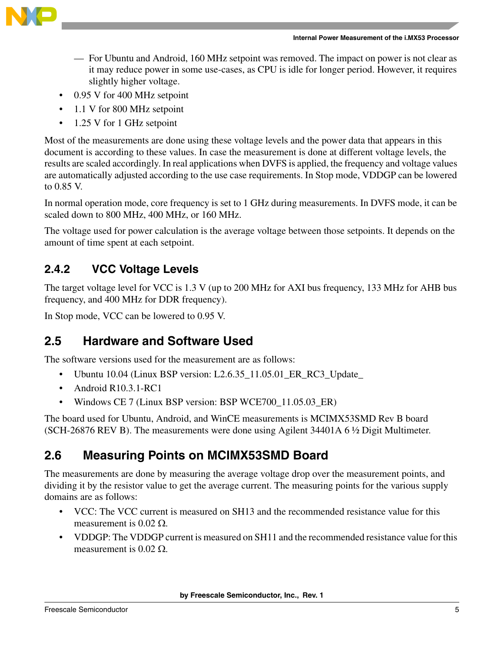

- For Ubuntu and Android, 160 MHz setpoint was removed. The impact on power is not clear as it may reduce power in some use-cases, as CPU is idle for longer period. However, it requires slightly higher voltage.
- 0.95 V for 400 MHz setpoint
- 1.1 V for 800 MHz setpoint
- 1.25 V for 1 GHz setpoint

Most of the measurements are done using these voltage levels and the power data that appears in this document is according to these values. In case the measurement is done at different voltage levels, the results are scaled accordingly. In real applications when DVFS is applied, the frequency and voltage values are automatically adjusted according to the use case requirements. In Stop mode, VDDGP can be lowered to 0.85 V.

In normal operation mode, core frequency is set to 1 GHz during measurements. In DVFS mode, it can be scaled down to 800 MHz, 400 MHz, or 160 MHz.

The voltage used for power calculation is the average voltage between those setpoints. It depends on the amount of time spent at each setpoint.

## **2.4.2 VCC Voltage Levels**

The target voltage level for VCC is 1.3 V (up to 200 MHz for AXI bus frequency, 133 MHz for AHB bus frequency, and 400 MHz for DDR frequency).

In Stop mode, VCC can be lowered to 0.95 V.

## <span id="page-4-0"></span>**2.5 Hardware and Software Used**

The software versions used for the measurement are as follows:

- Ubuntu 10.04 (Linux BSP version: L2.6.35\_11.05.01\_ER\_RC3\_Update\_
- Android R10.3.1-RC1
- Windows CE 7 (Linux BSP version: BSP WCE700 11.05.03 ER)

The board used for Ubuntu, Android, and WinCE measurements is MCIMX53SMD Rev B board (SCH-26876 REV B). The measurements were done using Agilent 34401A 6 ½ Digit Multimeter.

## **2.6 Measuring Points on MCIMX53SMD Board**

The measurements are done by measuring the average voltage drop over the measurement points, and dividing it by the resistor value to get the average current. The measuring points for the various supply domains are as follows:

- VCC: The VCC current is measured on SH13 and the recommended resistance value for this measurement is  $0.02 \Omega$ .
- VDDGP: The VDDGP current is measured on SH11 and the recommended resistance value for this measurement is  $0.02 \Omega$ .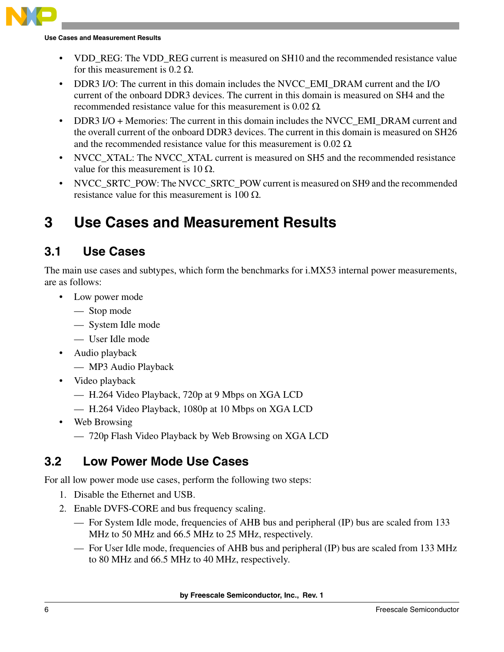

**Use Cases and Measurement Results**

- VDD REG: The VDD REG current is measured on SH10 and the recommended resistance value for this measurement is  $0.2 \Omega$ .
- DDR3 I/O: The current in this domain includes the NVCC EMI\_DRAM current and the I/O current of the onboard DDR3 devices. The current in this domain is measured on SH4 and the recommended resistance value for this measurement is 0.02 Ω.
- DDR3 I/O + Memories: The current in this domain includes the NVCC EMI\_DRAM current and the overall current of the onboard DDR3 devices. The current in this domain is measured on SH26 and the recommended resistance value for this measurement is  $0.02 \Omega$ .
- NVCC XTAL: The NVCC XTAL current is measured on SH5 and the recommended resistance value for this measurement is 10 Ω.
- NVCC\_SRTC\_POW: The NVCC\_SRTC\_POW current is measured on SH9 and the recommended resistance value for this measurement is  $100 \Omega$ .

## <span id="page-5-0"></span>**3 Use Cases and Measurement Results**

## **3.1 Use Cases**

The main use cases and subtypes, which form the benchmarks for i.MX53 internal power measurements, are as follows:

- Low power mode
	- Stop mode
	- System Idle mode
	- User Idle mode
- Audio playback
	- MP3 Audio Playback
- Video playback
	- H.264 Video Playback, 720p at 9 Mbps on XGA LCD
	- H.264 Video Playback, 1080p at 10 Mbps on XGA LCD
- Web Browsing
	- 720p Flash Video Playback by Web Browsing on XGA LCD

## **3.2 Low Power Mode Use Cases**

For all low power mode use cases, perform the following two steps:

- 1. Disable the Ethernet and USB.
- 2. Enable DVFS-CORE and bus frequency scaling.
	- For System Idle mode, frequencies of AHB bus and peripheral (IP) bus are scaled from 133 MHz to 50 MHz and 66.5 MHz to 25 MHz, respectively.
	- For User Idle mode, frequencies of AHB bus and peripheral (IP) bus are scaled from 133 MHz to 80 MHz and 66.5 MHz to 40 MHz, respectively.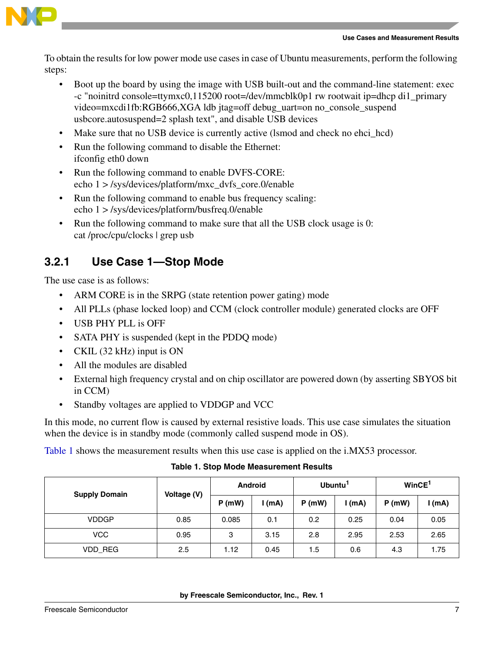



To obtain the results for low power mode use cases in case of Ubuntu measurements, perform the following steps:

- Boot up the board by using the image with USB built-out and the command-line statement: exec -c "noinitrd console=ttymxc0,115200 root=/dev/mmcblk0p1 rw rootwait ip=dhcp di1\_primary video=mxcdi1fb:RGB666,XGA ldb jtag=off debug\_uart=on no\_console\_suspend usbcore.autosuspend=2 splash text", and disable USB devices
- Make sure that no USB device is currently active (lsmod and check no ehci\_hcd)
- Run the following command to disable the Ethernet: ifconfig eth0 down
- Run the following command to enable DVFS-CORE: echo 1 > /sys/devices/platform/mxc\_dvfs\_core.0/enable
- Run the following command to enable bus frequency scaling: echo 1 > /sys/devices/platform/busfreq.0/enable
- Run the following command to make sure that all the USB clock usage is 0: cat /proc/cpu/clocks | grep usb

## **3.2.1 Use Case 1—Stop Mode**

The use case is as follows:

- ARM CORE is in the SRPG (state retention power gating) mode
- All PLLs (phase locked loop) and CCM (clock controller module) generated clocks are OFF
- USB PHY PLL is OFF
- SATA PHY is suspended (kept in the PDDQ mode)
- CKIL (32 kHz) input is ON
- All the modules are disabled
- External high frequency crystal and on chip oscillator are powered down (by asserting SBYOS bit in CCM)
- Standby voltages are applied to VDDGP and VCC

In this mode, no current flow is caused by external resistive loads. This use case simulates the situation when the device is in standby mode (commonly called suspend mode in OS).

[Table 1](#page-6-0) shows the measurement results when this use case is applied on the i.MX53 processor.

**Table 1. Stop Mode Measurement Results**

<span id="page-6-0"></span>

| <b>Supply Domain</b> | Voltage (V) | <b>Android</b> |          | Ubuntu <sup>1</sup> |      | WinCE <sup>1</sup> |          |
|----------------------|-------------|----------------|----------|---------------------|------|--------------------|----------|
|                      |             | P(mW)          | $l$ (mA) | P(mW)               | (mA) | $P$ (mW)           | $l$ (mA) |
| <b>VDDGP</b>         | 0.85        | 0.085          | 0.1      | 0.2                 | 0.25 | 0.04               | 0.05     |
| VCC                  | 0.95        | 3              | 3.15     | 2.8                 | 2.95 | 2.53               | 2.65     |
| VDD_REG              | 2.5         | 1.12           | 0.45     | 1.5                 | 0.6  | 4.3                | 1.75     |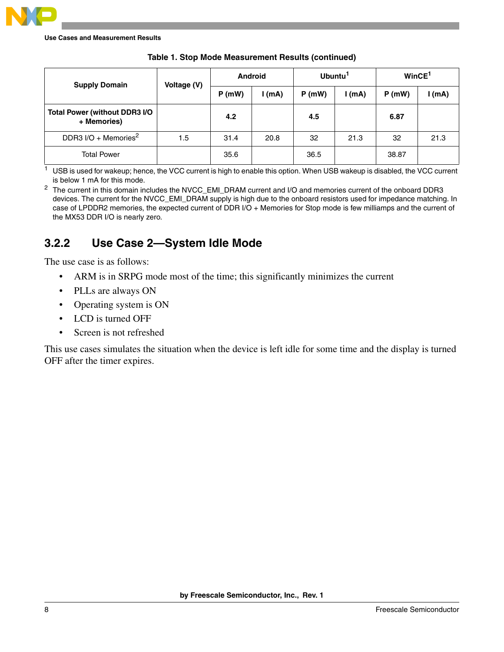

**Use Cases and Measurement Results**

| <b>Supply Domain</b>                                | Voltage (V) |       | <b>Android</b> |       | Ubuntu <sup>1</sup> | WincE <sup>1</sup> |          |
|-----------------------------------------------------|-------------|-------|----------------|-------|---------------------|--------------------|----------|
|                                                     |             | P(mW) | I(mA)          | P(mW) | l (mA)              | $P$ (mW)           | $l$ (mA) |
| <b>Total Power (without DDR3 I/O</b><br>+ Memories) |             | 4.2   |                | 4.5   |                     | 6.87               |          |
| DDR3 I/O + Memories <sup>2</sup>                    | 1.5         | 31.4  | 20.8           | 32    | 21.3                | 32                 | 21.3     |
| <b>Total Power</b>                                  |             | 35.6  |                | 36.5  |                     | 38.87              |          |

| Table 1. Stop Mode Measurement Results (continued) |  |  |  |
|----------------------------------------------------|--|--|--|
|----------------------------------------------------|--|--|--|

<span id="page-7-0"></span><sup>1</sup> USB is used for wakeup; hence, the VCC current is high to enable this option. When USB wakeup is disabled, the VCC current is below 1 mA for this mode.

<sup>2</sup> The current in this domain includes the NVCC\_EMI\_DRAM current and I/O and memories current of the onboard DDR3 devices. The current for the NVCC\_EMI\_DRAM supply is high due to the onboard resistors used for impedance matching. In case of LPDDR2 memories, the expected current of DDR I/O + Memories for Stop mode is few milliamps and the current of the MX53 DDR I/O is nearly zero.

## **3.2.2 Use Case 2—System Idle Mode**

The use case is as follows:

- ARM is in SRPG mode most of the time; this significantly minimizes the current
- PLLs are always ON
- Operating system is ON
- LCD is turned OFF
- Screen is not refreshed

This use cases simulates the situation when the device is left idle for some time and the display is turned OFF after the timer expires.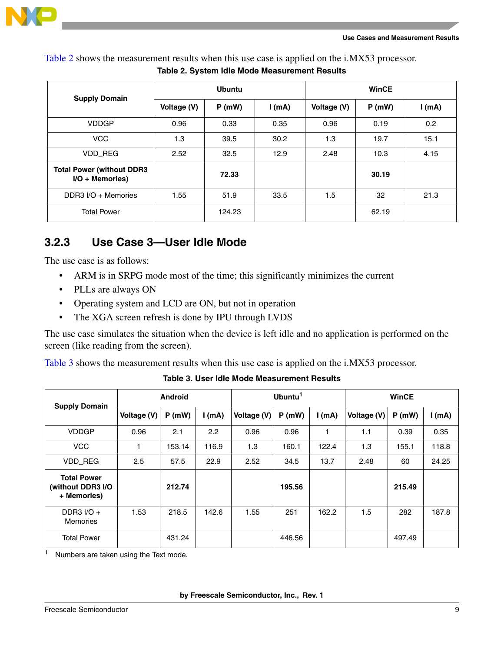

<span id="page-8-1"></span>[Table 2](#page-8-1) shows the measurement results when this use case is applied on the i.MX53 processor.

|                                                        |             | <b>Ubuntu</b> |          | <b>WinCE</b> |       |       |  |
|--------------------------------------------------------|-------------|---------------|----------|--------------|-------|-------|--|
| <b>Supply Domain</b>                                   | Voltage (V) | P(mW)         | $l$ (mA) | Voltage (V)  | P(mW) | I(mA) |  |
| <b>VDDGP</b>                                           | 0.96        | 0.33          | 0.35     | 0.96         | 0.19  | 0.2   |  |
| <b>VCC</b>                                             | 1.3         | 39.5          | 30.2     | 1.3          | 19.7  | 15.1  |  |
| VDD_REG                                                | 2.52        | 32.5          | 12.9     | 2.48         | 10.3  | 4.15  |  |
| <b>Total Power (without DDR3)</b><br>$I/O +$ Memories) |             | 72.33         |          |              | 30.19 |       |  |
| DDR3 I/O + Memories                                    | 1.55        | 51.9          | 33.5     | 1.5          | 32    | 21.3  |  |
| <b>Total Power</b>                                     |             | 124.23        |          |              | 62.19 |       |  |

**Table 2. System Idle Mode Measurement Results**

## **3.2.3 Use Case 3—User Idle Mode**

The use case is as follows:

- ARM is in SRPG mode most of the time; this significantly minimizes the current
- PLLs are always ON
- Operating system and LCD are ON, but not in operation
- The XGA screen refresh is done by IPU through LVDS

The use case simulates the situation when the device is left idle and no application is performed on the screen (like reading from the screen).

[Table 3](#page-8-0) shows the measurement results when this use case is applied on the i.MX53 processor.

<span id="page-8-0"></span>

| <b>Supply Domain</b>                                   | <b>Android</b> |        |          |             | Ubuntu <sup>1</sup> |          | <b>WinCE</b> |        |          |
|--------------------------------------------------------|----------------|--------|----------|-------------|---------------------|----------|--------------|--------|----------|
|                                                        | Voltage (V)    | P(mW)  | $l$ (mA) | Voltage (V) | P(mW)               | $l$ (mA) | Voltage (V)  | P(mW)  | $l$ (mA) |
| <b>VDDGP</b>                                           | 0.96           | 2.1    | 2.2      | 0.96        | 0.96                |          | 1.1          | 0.39   | 0.35     |
| <b>VCC</b>                                             | 1              | 153.14 | 116.9    | 1.3         | 160.1               | 122.4    | 1.3          | 155.1  | 118.8    |
| VDD REG                                                | 2.5            | 57.5   | 22.9     | 2.52        | 34.5                | 13.7     | 2.48         | 60     | 24.25    |
| <b>Total Power</b><br>(without DDR3 I/O<br>+ Memories) |                | 212.74 |          |             | 195.56              |          |              | 215.49 |          |
| DDR3 $I/O +$<br>Memories                               | 1.53           | 218.5  | 142.6    | 1.55        | 251                 | 162.2    | 1.5          | 282    | 187.8    |
| <b>Total Power</b>                                     |                | 431.24 |          |             | 446.56              |          |              | 497.49 |          |

**Table 3. User Idle Mode Measurement Results**

1 Numbers are taken using the Text mode.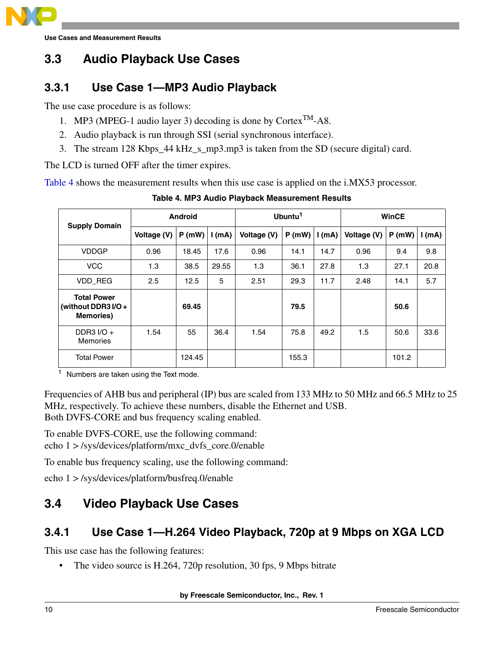

## **3.3 Audio Playback Use Cases**

## **3.3.1 Use Case 1—MP3 Audio Playback**

The use case procedure is as follows:

- 1. MP3 (MPEG-1 audio layer 3) decoding is done by Cortex<sup>TM</sup>-A8.
- 2. Audio playback is run through SSI (serial synchronous interface).
- 3. The stream 128 Kbps\_44 kHz\_s\_mp3.mp3 is taken from the SD (secure digital) card.

The LCD is turned OFF after the timer expires.

<span id="page-9-0"></span>[Table 4](#page-9-0) shows the measurement results when this use case is applied on the i.MX53 processor.

| <b>Supply Domain</b>                                           | Android     |        |       | Ubuntu <sup>1</sup> |       |      | <b>WinCE</b> |       |       |
|----------------------------------------------------------------|-------------|--------|-------|---------------------|-------|------|--------------|-------|-------|
|                                                                | Voltage (V) | P(mW)  | (mA)  | Voltage (V)         | P(mW) | (mA) | Voltage (V)  | P(mW) | I(mA) |
| <b>VDDGP</b>                                                   | 0.96        | 18.45  | 17.6  | 0.96                | 14.1  | 14.7 | 0.96         | 9.4   | 9.8   |
| <b>VCC</b>                                                     | 1.3         | 38.5   | 29.55 | 1.3                 | 36.1  | 27.8 | 1.3          | 27.1  | 20.8  |
| <b>VDD REG</b>                                                 | 2.5         | 12.5   | 5     | 2.51                | 29.3  | 11.7 | 2.48         | 14.1  | 5.7   |
| <b>Total Power</b><br>(without DDR3 I/O +<br><b>Memories</b> ) |             | 69.45  |       |                     | 79.5  |      |              | 50.6  |       |
| DDR3 $I/O +$<br><b>Memories</b>                                | 1.54        | 55     | 36.4  | 1.54                | 75.8  | 49.2 | 1.5          | 50.6  | 33.6  |
| <b>Total Power</b>                                             |             | 124.45 |       |                     | 155.3 |      |              | 101.2 |       |

**Table 4. MP3 Audio Playback Measurement Results**

<sup>1</sup> Numbers are taken using the Text mode.

Frequencies of AHB bus and peripheral (IP) bus are scaled from 133 MHz to 50 MHz and 66.5 MHz to 25 MHz, respectively. To achieve these numbers, disable the Ethernet and USB. Both DVFS-CORE and bus frequency scaling enabled.

To enable DVFS-CORE, use the following command: echo 1 > /sys/devices/platform/mxc\_dvfs\_core.0/enable

To enable bus frequency scaling, use the following command:

echo 1 > /sys/devices/platform/busfreq.0/enable

## **3.4 Video Playback Use Cases**

## **3.4.1 Use Case 1—H.264 Video Playback, 720p at 9 Mbps on XGA LCD**

This use case has the following features:

• The video source is H.264, 720p resolution, 30 fps, 9 Mbps bitrate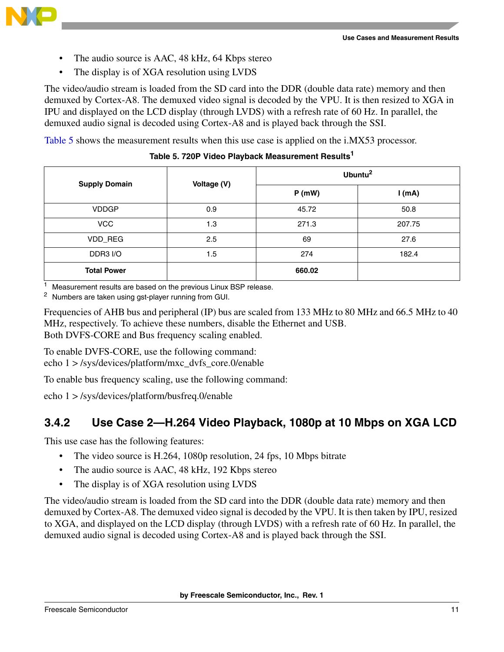

- The audio source is AAC, 48 kHz, 64 Kbps stereo
- The display is of XGA resolution using LVDS

The video/audio stream is loaded from the SD card into the DDR (double data rate) memory and then demuxed by Cortex-A8. The demuxed video signal is decoded by the VPU. It is then resized to XGA in IPU and displayed on the LCD display (through LVDS) with a refresh rate of 60 Hz. In parallel, the demuxed audio signal is decoded using Cortex-A8 and is played back through the SSI.

<span id="page-10-0"></span>[Table 5](#page-10-0) shows the measurement results when this use case is applied on the i.MX53 processor.

| <b>Supply Domain</b> | Voltage (V) |        | Ubuntu <sup>2</sup> |
|----------------------|-------------|--------|---------------------|
|                      |             | P(mW)  | $l$ (mA)            |
| <b>VDDGP</b>         | 0.9         | 45.72  | 50.8                |
| <b>VCC</b>           | 1.3         | 271.3  | 207.75              |
| VDD_REG              | 2.5         | 69     | 27.6                |
| DDR3 I/O             | 1.5         | 274    | 182.4               |
| <b>Total Power</b>   |             | 660.02 |                     |

**Table 5. 720P Video Playback Measurement Results<sup>1</sup>**

 $1$  Measurement results are based on the previous Linux BSP release.

<sup>2</sup> Numbers are taken using gst-player running from GUI.

Frequencies of AHB bus and peripheral (IP) bus are scaled from 133 MHz to 80 MHz and 66.5 MHz to 40 MHz, respectively. To achieve these numbers, disable the Ethernet and USB. Both DVFS-CORE and Bus frequency scaling enabled.

To enable DVFS-CORE, use the following command: echo 1 > /sys/devices/platform/mxc\_dvfs\_core.0/enable

To enable bus frequency scaling, use the following command:

echo 1 > /sys/devices/platform/busfreq.0/enable

## **3.4.2 Use Case 2—H.264 Video Playback, 1080p at 10 Mbps on XGA LCD**

This use case has the following features:

- The video source is H.264, 1080p resolution, 24 fps, 10 Mbps bitrate
- The audio source is AAC, 48 kHz, 192 Kbps stereo
- The display is of XGA resolution using LVDS

The video/audio stream is loaded from the SD card into the DDR (double data rate) memory and then demuxed by Cortex-A8. The demuxed video signal is decoded by the VPU. It is then taken by IPU, resized to XGA, and displayed on the LCD display (through LVDS) with a refresh rate of 60 Hz. In parallel, the demuxed audio signal is decoded using Cortex-A8 and is played back through the SSI.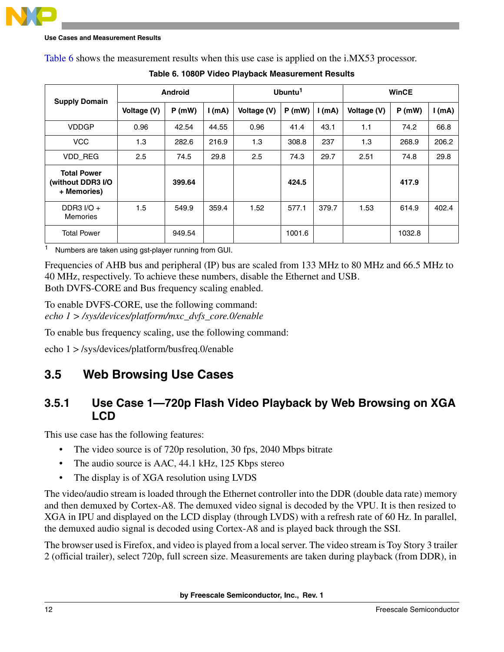<span id="page-11-0"></span>[Table 6](#page-11-0) shows the measurement results when this use case is applied on the i.MX53 processor.

| <b>Supply Domain</b>                                   | Android     |        |          | Ubuntu <sup>1</sup> |        |       | <b>WinCE</b> |        |          |
|--------------------------------------------------------|-------------|--------|----------|---------------------|--------|-------|--------------|--------|----------|
|                                                        | Voltage (V) | P(mW)  | $l$ (mA) | Voltage (V)         | P(mW)  | I(mA) | Voltage (V)  | P(mW)  | $l$ (mA) |
| <b>VDDGP</b>                                           | 0.96        | 42.54  | 44.55    | 0.96                | 41.4   | 43.1  | 1.1          | 74.2   | 66.8     |
| <b>VCC</b>                                             | 1.3         | 282.6  | 216.9    | 1.3                 | 308.8  | 237   | 1.3          | 268.9  | 206.2    |
| VDD_REG                                                | 2.5         | 74.5   | 29.8     | 2.5                 | 74.3   | 29.7  | 2.51         | 74.8   | 29.8     |
| <b>Total Power</b><br>(without DDR3 I/O<br>+ Memories) |             | 399.64 |          |                     | 424.5  |       |              | 417.9  |          |
| DDR3 $I/O +$<br><b>Memories</b>                        | 1.5         | 549.9  | 359.4    | 1.52                | 577.1  | 379.7 | 1.53         | 614.9  | 402.4    |
| <b>Total Power</b>                                     |             | 949.54 |          |                     | 1001.6 |       |              | 1032.8 |          |

**Table 6. 1080P Video Playback Measurement Results**

<sup>1</sup> Numbers are taken using gst-player running from GUI.

Frequencies of AHB bus and peripheral (IP) bus are scaled from 133 MHz to 80 MHz and 66.5 MHz to 40 MHz, respectively. To achieve these numbers, disable the Ethernet and USB. Both DVFS-CORE and Bus frequency scaling enabled.

To enable DVFS-CORE, use the following command: *echo 1 > /sys/devices/platform/mxc\_dvfs\_core.0/enable* 

To enable bus frequency scaling, use the following command:

echo 1 > /sys/devices/platform/busfreq.0/enable

## **3.5 Web Browsing Use Cases**

## **3.5.1 Use Case 1—720p Flash Video Playback by Web Browsing on XGA LCD**

This use case has the following features:

- The video source is of 720p resolution, 30 fps, 2040 Mbps bitrate
- The audio source is AAC, 44.1 kHz, 125 Kbps stereo
- The display is of XGA resolution using LVDS

The video/audio stream is loaded through the Ethernet controller into the DDR (double data rate) memory and then demuxed by Cortex-A8. The demuxed video signal is decoded by the VPU. It is then resized to XGA in IPU and displayed on the LCD display (through LVDS) with a refresh rate of 60 Hz. In parallel, the demuxed audio signal is decoded using Cortex-A8 and is played back through the SSI.

The browser used is Firefox, and video is played from a local server. The video stream is Toy Story 3 trailer 2 (official trailer), select 720p, full screen size. Measurements are taken during playback (from DDR), in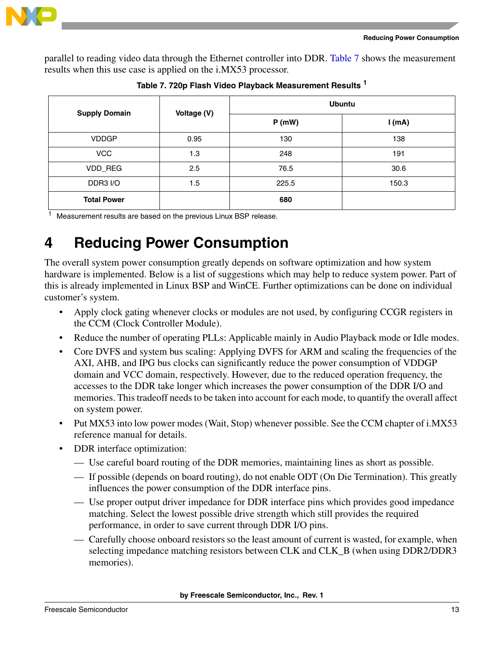

parallel to reading video data through the Ethernet controller into DDR. [Table 7](#page-12-1) shows the measurement results when this use case is applied on the i.MX53 processor.

<span id="page-12-1"></span>

| <b>Supply Domain</b> | Voltage (V) | <b>Ubuntu</b> |       |  |  |
|----------------------|-------------|---------------|-------|--|--|
|                      |             | P(mW)         | I(mA) |  |  |
| <b>VDDGP</b>         | 0.95        | 130           | 138   |  |  |
| <b>VCC</b>           | 1.3         | 248           | 191   |  |  |
| VDD_REG              | 2.5         | 76.5          | 30.6  |  |  |
| DDR3 I/O             | 1.5         | 225.5         | 150.3 |  |  |
| <b>Total Power</b>   |             | 680           |       |  |  |

**Table 7. 720p Flash Video Playback Measurement Results <sup>1</sup>**

<sup>1</sup> Measurement results are based on the previous Linux BSP release.

## <span id="page-12-0"></span>**4 Reducing Power Consumption**

The overall system power consumption greatly depends on software optimization and how system hardware is implemented. Below is a list of suggestions which may help to reduce system power. Part of this is already implemented in Linux BSP and WinCE. Further optimizations can be done on individual customer's system.

- Apply clock gating whenever clocks or modules are not used, by configuring CCGR registers in the CCM (Clock Controller Module).
- Reduce the number of operating PLLs: Applicable mainly in Audio Playback mode or Idle modes.
- Core DVFS and system bus scaling: Applying DVFS for ARM and scaling the frequencies of the AXI, AHB, and IPG bus clocks can significantly reduce the power consumption of VDDGP domain and VCC domain, respectively. However, due to the reduced operation frequency, the accesses to the DDR take longer which increases the power consumption of the DDR I/O and memories. This tradeoff needs to be taken into account for each mode, to quantify the overall affect on system power.
- Put MX53 into low power modes (Wait, Stop) whenever possible. See the CCM chapter of i.MX53 reference manual for details.
- DDR interface optimization:
	- Use careful board routing of the DDR memories, maintaining lines as short as possible.
	- If possible (depends on board routing), do not enable ODT (On Die Termination). This greatly influences the power consumption of the DDR interface pins.
	- Use proper output driver impedance for DDR interface pins which provides good impedance matching. Select the lowest possible drive strength which still provides the required performance, in order to save current through DDR I/O pins.
	- Carefully choose onboard resistors so the least amount of current is wasted, for example, when selecting impedance matching resistors between CLK and CLK\_B (when using DDR2/DDR3 memories).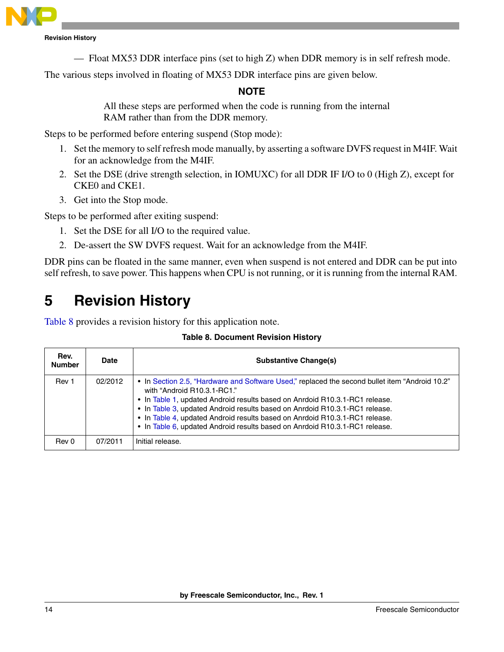

**Revision History**

— Float MX53 DDR interface pins (set to high Z) when DDR memory is in self refresh mode.

The various steps involved in floating of MX53 DDR interface pins are given below.

### **NOTE**

All these steps are performed when the code is running from the internal RAM rather than from the DDR memory.

Steps to be performed before entering suspend (Stop mode):

- 1. Set the memory to self refresh mode manually, by asserting a software DVFS request in M4IF. Wait for an acknowledge from the M4IF.
- 2. Set the DSE (drive strength selection, in IOMUXC) for all DDR IF I/O to 0 (High Z), except for CKE0 and CKE1.
- 3. Get into the Stop mode.

Steps to be performed after exiting suspend:

- 1. Set the DSE for all I/O to the required value.
- 2. De-assert the SW DVFS request. Wait for an acknowledge from the M4IF.

DDR pins can be floated in the same manner, even when suspend is not entered and DDR can be put into self refresh, to save power. This happens when CPU is not running, or it is running from the internal RAM.

## <span id="page-13-0"></span>**5 Revision History**

<span id="page-13-1"></span>[Table 8](#page-13-1) provides a revision history for this application note.

| <b>Table 8. Document Revision History</b> |  |  |  |
|-------------------------------------------|--|--|--|
|-------------------------------------------|--|--|--|

| Rev.<br><b>Number</b> | <b>Date</b> | <b>Substantive Change(s)</b>                                                                                                                                                                                                                                                                                                                                                                                                                              |
|-----------------------|-------------|-----------------------------------------------------------------------------------------------------------------------------------------------------------------------------------------------------------------------------------------------------------------------------------------------------------------------------------------------------------------------------------------------------------------------------------------------------------|
| Rev 1                 | 02/2012     | • In Section 2.5, "Hardware and Software Used," replaced the second bullet item "Android 10.2"<br>with "Android R10.3.1-RC1."<br>. In Table 1, updated Android results based on Anrdoid R10.3.1-RC1 release.<br>. In Table 3, updated Android results based on Anrdoid R10.3.1-RC1 release.<br>. In Table 4, updated Android results based on Anrdoid R10.3.1-RC1 release.<br>• In Table 6, updated Android results based on Anrdoid R10.3.1-RC1 release. |
| Rev 0                 | 07/2011     | Initial release.                                                                                                                                                                                                                                                                                                                                                                                                                                          |